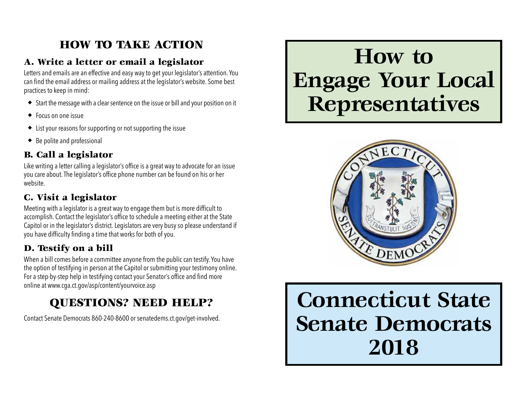# HOW TO TAKE ACTION

# A. Write a letter or email a legislator

Letters and emails are an effective and easy way to get your legislator's attention. You can find the email address or mailing address at the legislator's website. Some best practices to keep in mind:

- ◆ Start the message with a clear sentence on the issue or bill and your position on it
- ◆ Focus on one issue
- ◆ List your reasons for supporting or not supporting the issue
- ◆ Be polite and professional

# B. Call a legislator

Like writing a letter calling a legislator's office is a great way to advocate for an issue you care about. The legislator's office phone number can be found on his or her website.

# C. Visit a legislator

Meeting with a legislator is a great way to engage them but is more difficult to accomplish. Contact the legislator's office to schedule a meeting either at the State Capitol or in the legislator's district. Legislators are very busy so please understand if you have difficulty finding a time that works for both of you.

# D. Testify on a bill

When a bill comes before a committee anyone from the public can testify. You have the option of testifying in person at the Capitol or submitting your testimony online. For a step-by-step help in testifying contact your Senator's office and find more online at www.cga.ct.gov/asp/content/yourvoice.asp

# QUESTIONS? NEED HELP?

Contact Senate Democrats 860-240-8600 or senatedems.ct.gov/get-involved.

# **How to Engage Your Local Representatives**



**Connecticut State Senate Democrats 2018**